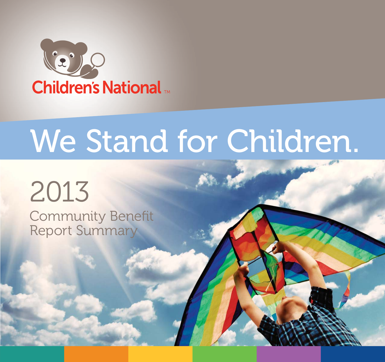

# We Stand for Children.

# 2013

Community Benefit Report Summary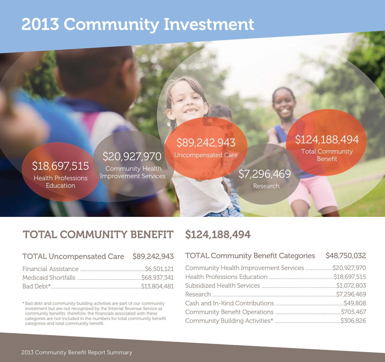# 2013 Community Investment

### \$18,697,515

Health Professions **Education** 

\$20,927,970 Community Health Improvement Services

# \$89,242,943

Uncompensated Care

# \$124,188,494

Total Community

# \$7,296,469

Research

### TOTAL COMMUNITY BENEFIT \$124,188,494

| TOTAL Uncompensated Care \$89,242,943 |  |
|---------------------------------------|--|
|                                       |  |
|                                       |  |
|                                       |  |

\* Bad debt and community building activities are part of our community investment but are not recognized by the Internal Revenue Service as community benefits; therefore, the financials associated with these categories are not included in the numbers for total community benefit categories and total community benefit.

| <b>TOTAL Community Benefit Categories</b>          | \$48,750,032 |
|----------------------------------------------------|--------------|
| Community Health Improvement Services \$20,927,970 |              |
|                                                    |              |
|                                                    |              |
|                                                    |              |
|                                                    |              |
|                                                    |              |
|                                                    |              |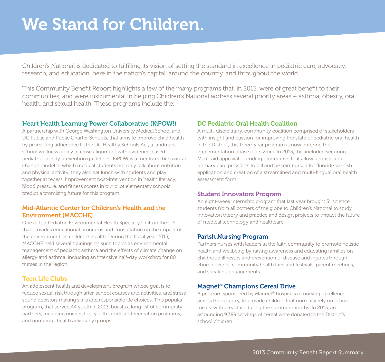# We Stand for Children.

Children's National is dedicated to fulfilling its vision of setting the standard in excellence in pediatric care, advocacy, research, and education, here in the nation's capital, around the country, and throughout the world.

This Community Benefit Report highlights a few of the many programs that, in 2013, were of great benefit to their communities, and were instrumental in helping Children's National address several priority areas – asthma, obesity, oral health, and sexual health. These programs include the:

### Heart Health Learning Power Collaborative (KiPOW!)

A partnership with George Washington University Medical School and DC Public and Public Charter Schools, that aims to improve child health by promoting adherence to the DC Healthy Schools Act, a landmark school wellness policy in close alignment with evidence-based pediatric obesity prevention guidelines. KiPOW is a mentored behavioral change model in which medical students not only talk about nutrition and physical activity; they also eat lunch with students and play together at recess. Improvement post-intervention in health literacy, blood pressure, and fitness scores in our pilot elementary schools predict a promising future for this program.

### Mid-Atlantic Center for Children's Health and the Environment (MACCHE)

One of ten Pediatric Environmental Health Specialty Units in the U.S. that provides educational programs and consultation on the impact of the environment on children's health. During the fiscal year 2013, MACCHE held several trainings on such topics as environmental management of pediatric asthma and the effects of climate change on allergy and asthma, including an intensive half-day workshop for 80 nurses in the region.

### Teen Life Clubs

An adolescent health and development program whose goal is to reduce sexual risk through after-school courses and activities, and stress sound decision-making skills and responsible life choices. This popular program, that served 44 youth in 2013, boasts a long list of community partners, including universities, youth sports and recreation programs, and numerous health advocacy groups.

### DC Pediatric Oral Health Coalition

A multi-disciplinary, community coalition comprised of stakeholders with insight and passion for improving the state of pediatric oral health in the District, this three-year program is now entering the implementation phase of its work. In 2013, this included securing Medicaid approval of coding procedures that allow dentists and primary care providers to bill and be reimbursed for fluoride varnish application and creation of a streamlined and multi-lingual oral health assessment form.

#### Student Innovators Program

An eight-week internship program that last year brought 31 science students from all corners of the globe to Children's National to study innovation theory and practice and design projects to impact the future of medical technology and healthcare.

### Parish Nursing Program

Partners nurses with leaders in the faith community to promote holistic health and wellbeing by raising awareness and educating families on childhood illnesses and prevention of disease and injuries through church events, community health fairs and festivals, parent meetings, and speaking engagements.

### Magnet® Champions Cereal Drive

A program sponsored by Magnet® hospitals of nursing excellence across the country, to provide children that normally rely on school meals, with breakfast during the summer months. In 2013, an astounding 9,389 servings of cereal were donated to the District's school children.